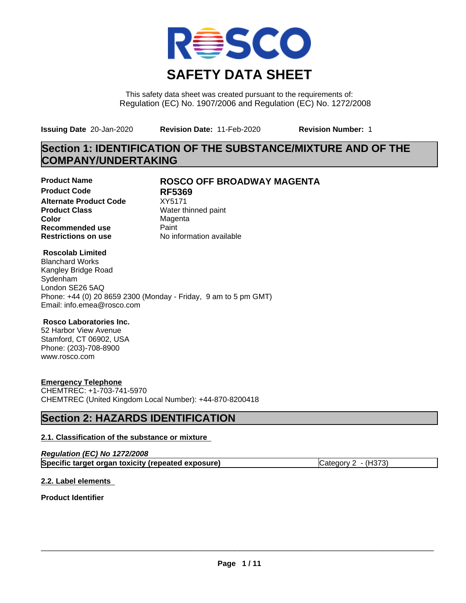

This safety data sheet was created pursuant to the requirements of: Regulation (EC) No. 1907/2006 and Regulation (EC) No. 1272/2008

**Issuing Date** 20-Jan-2020 **Revision Date:** 11-Feb-2020 **Revision Number:** 1

# **Section 1: IDENTIFICATION OF THE SUBSTANCE/MIXTURE AND OF THE COMPANY/UNDERTAKING**

**Product Code RF5369 Alternate Product Code** XY5171<br>**Product Class** Water the **Product Class** Water thinned paint<br> **Color** Magenta **Recommended use** Paint<br> **Restrictions on use** Mo information available **Restrictions on use** 

## **Product Name ROSCO OFF BROADWAY MAGENTA**

**Magenta** 

### **Roscolab Limited**

Blanchard Works Kangley Bridge Road Sydenham London SE26 5AQ Phone: +44 (0) 20 8659 2300 (Monday - Friday, 9 am to 5 pm GMT) Email: info.emea@rosco.com

### **Rosco Laboratories Inc.**

52 Harbor View Avenue Stamford, CT 06902, USA Phone: (203)-708-8900 www.rosco.com

### **Emergency Telephone**

CHEMTREC: +1-703-741-5970 CHEMTREC (United Kingdom Local Number): +44-870-8200418

# **Section 2: HAZARDS IDENTIFICATION**

### **2.1. Classification of the substance or mixture**

| Regulation (EC) No 1272/2008                       |                       |
|----------------------------------------------------|-----------------------|
| Specific target organ toxicity (repeated exposure) | Category $2 - (H373)$ |

### **2.2. Label elements**

**Product Identifier**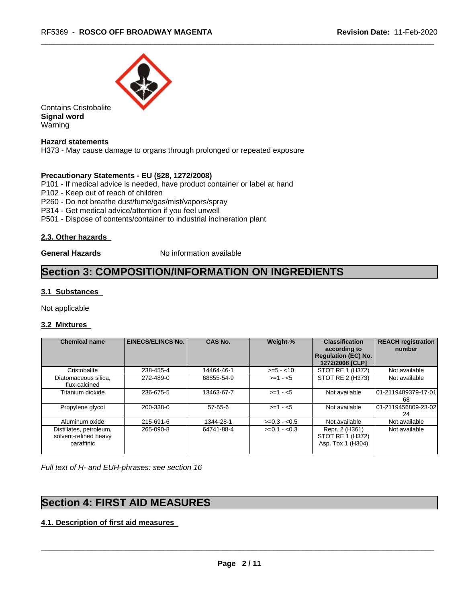

Contains Cristobalite **Signal word** Warning

### **Hazard statements**

H373 - May cause damage to organs through prolonged or repeated exposure

### **Precautionary Statements - EU (§28, 1272/2008)**

P101 - If medical advice is needed, have product container or label at hand

- P102 Keep out of reach of children
- P260 Do not breathe dust/fume/gas/mist/vapors/spray
- P314 Get medical advice/attention if you feel unwell
- P501 Dispose of contents/container to industrial incineration plant

### **2.3. Other hazards**

**General Hazards** No information available

## **Section 3: COMPOSITION/INFORMATION ON INGREDIENTS**

### **3.1 Substances**

Not applicable

### **3.2 Mixtures**

| <b>Chemical name</b>                                           | <b>EINECS/ELINCS No.</b> | <b>CAS No.</b> | Weight-%      | <b>Classification</b><br>according to<br><b>Regulation (EC) No.</b><br>1272/2008 [CLP] | <b>REACH registration</b><br>number |
|----------------------------------------------------------------|--------------------------|----------------|---------------|----------------------------------------------------------------------------------------|-------------------------------------|
| Cristobalite                                                   | 238-455-4                | 14464-46-1     | $>= 5 - 10$   | STOT RE 1 (H372)                                                                       | Not available                       |
| Diatomaceous silica,<br>flux-calcined                          | 272-489-0                | 68855-54-9     | $>= 1 - 5$    | STOT RE 2 (H373)                                                                       | Not available                       |
| Titanium dioxide                                               | 236-675-5                | 13463-67-7     | $>= 1 - 5$    | Not available                                                                          | 101-2119489379-17-01<br>68          |
| Propylene glycol                                               | 200-338-0                | $57 - 55 - 6$  | $>=1 - 5$     | Not available                                                                          | 01-2119456809-23-02<br>24           |
| Aluminum oxide                                                 | 215-691-6                | 1344-28-1      | $>=0.3 - 0.5$ | Not available                                                                          | Not available                       |
| Distillates, petroleum,<br>solvent-refined heavy<br>paraffinic | 265-090-8                | 64741-88-4     | $>=0.1 - 0.3$ | Repr. 2 (H361)<br>STOT RE 1 (H372)<br>Asp. Tox 1 (H304)                                | Not available                       |

*Full text of H- and EUH-phrases: see section 16*

# **Section 4: FIRST AID MEASURES**

**4.1. Description of first aid measures**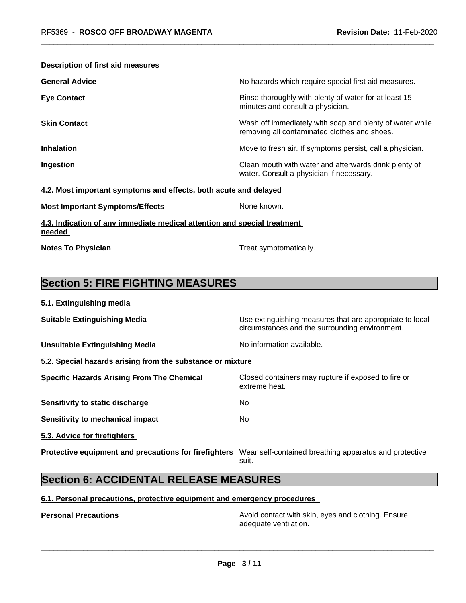| <b>Description of first aid measures</b> |                                                                                                          |
|------------------------------------------|----------------------------------------------------------------------------------------------------------|
| <b>General Advice</b>                    | No hazards which require special first aid measures.                                                     |
| <b>Eye Contact</b>                       | Rinse thoroughly with plenty of water for at least 15<br>minutes and consult a physician.                |
| <b>Skin Contact</b>                      | Wash off immediately with soap and plenty of water while<br>removing all contaminated clothes and shoes. |
| <b>Inhalation</b>                        | Move to fresh air. If symptoms persist, call a physician.                                                |
| Ingestion                                | Clean mouth with water and afterwards drink plenty of<br>water. Consult a physician if necessary.        |

### **4.2. Most important symptoms and effects, both acute and delayed**

| None known. |
|-------------|
|             |

**4.3. Indication of any immediate medical attention and special treatment needed** 

**Notes To Physician** Motes **To Physician** Treat symptomatically.

# **Section 5: FIRE FIGHTING MEASURES**

| 5.1. Extinguishing media |  |
|--------------------------|--|
|                          |  |

| <b>Suitable Extinguishing Media</b>                        | Use extinguishing measures that are appropriate to local<br>circumstances and the surrounding environment. |
|------------------------------------------------------------|------------------------------------------------------------------------------------------------------------|
| <b>Unsuitable Extinguishing Media</b>                      | No information available.                                                                                  |
| 5.2. Special hazards arising from the substance or mixture |                                                                                                            |
| <b>Specific Hazards Arising From The Chemical</b>          | Closed containers may rupture if exposed to fire or<br>extreme heat.                                       |
| Sensitivity to static discharge                            | No.                                                                                                        |
| Sensitivity to mechanical impact                           | No.                                                                                                        |
| 5.3. Advice for firefighters                               |                                                                                                            |
|                                                            |                                                                                                            |

**Protective equipment and precautions for firefighters** Wear self-contained breathing apparatus and protective suit.

# **Section 6: ACCIDENTAL RELEASE MEASURES**

### **6.1. Personal precautions, protective equipment and emergency procedures**

**Personal Precautions Precautions** Avoid contact with skin, eyes and clothing. Ensure adequate ventilation.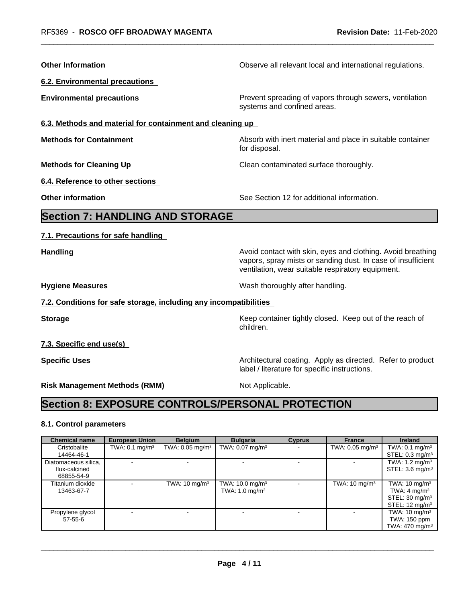| <b>Other Information</b>                                          | Observe all relevant local and international regulations.                                                                                                                        |
|-------------------------------------------------------------------|----------------------------------------------------------------------------------------------------------------------------------------------------------------------------------|
| <b>6.2. Environmental precautions</b>                             |                                                                                                                                                                                  |
| <b>Environmental precautions</b>                                  | Prevent spreading of vapors through sewers, ventilation<br>systems and confined areas.                                                                                           |
| 6.3. Methods and material for containment and cleaning up         |                                                                                                                                                                                  |
| <b>Methods for Containment</b>                                    | Absorb with inert material and place in suitable container<br>for disposal.                                                                                                      |
| <b>Methods for Cleaning Up</b>                                    | Clean contaminated surface thoroughly.                                                                                                                                           |
| 6.4. Reference to other sections                                  |                                                                                                                                                                                  |
| <b>Other information</b>                                          | See Section 12 for additional information.                                                                                                                                       |
| <b>Section 7: HANDLING AND STORAGE</b>                            |                                                                                                                                                                                  |
| 7.1. Precautions for safe handling                                |                                                                                                                                                                                  |
| <b>Handling</b>                                                   | Avoid contact with skin, eyes and clothing. Avoid breathing<br>vapors, spray mists or sanding dust. In case of insufficient<br>ventilation, wear suitable respiratory equipment. |
| <b>Hygiene Measures</b>                                           | Wash thoroughly after handling.                                                                                                                                                  |
| 7.2. Conditions for safe storage, including any incompatibilities |                                                                                                                                                                                  |
| <b>Storage</b>                                                    | Keep container tightly closed. Keep out of the reach of<br>children.                                                                                                             |
| 7.3. Specific end use(s)                                          |                                                                                                                                                                                  |
| <b>Specific Uses</b>                                              | Architectural coating. Apply as directed. Refer to product<br>label / literature for specific instructions.                                                                      |
| <b>Risk Management Methods (RMM)</b>                              | Not Applicable.                                                                                                                                                                  |
| <b>Section 8: EXPOSURE CONTROLS/PERSONAL PROTECTION</b>           |                                                                                                                                                                                  |
|                                                                   |                                                                                                                                                                                  |

## **8.1. Control parameters**

| <b>Chemical name</b> | <b>European Union</b>     | <b>Belgium</b>                | <b>Bulgaria</b>               | <b>Cyprus</b> | <b>France</b>                 | Ireland                    |
|----------------------|---------------------------|-------------------------------|-------------------------------|---------------|-------------------------------|----------------------------|
| Cristobalite         | TWA: $0.1 \text{ mg/m}^3$ | TWA: $0.05$ mg/m <sup>3</sup> | TWA: $0.07$ mg/m <sup>3</sup> |               | TWA: $0.05$ mg/m <sup>3</sup> | TWA: $0.1 \text{ mg/m}^3$  |
| 14464-46-1           |                           |                               |                               |               |                               | STEL: $0.3 \text{ mg/m}^3$ |
| Diatomaceous silica, |                           |                               |                               |               | $\sim$                        | TWA: $1.2 \text{ mg/m}^3$  |
| flux-calcined        |                           |                               |                               |               |                               | STEL: $3.6 \text{ mg/m}^3$ |
| 68855-54-9           |                           |                               |                               |               |                               |                            |
| Titanium dioxide     |                           | TWA: $10 \text{ mg/m}^3$      | TWA: $10.0$ mg/m <sup>3</sup> |               | TWA: $10 \text{ mg/m}^3$      | TWA: $10 \text{ mg/m}^3$   |
| 13463-67-7           |                           |                               | TWA: $1.0 \text{ mg/m}^3$     |               |                               | TWA: 4 mg/m $3$            |
|                      |                           |                               |                               |               |                               | STEL: $30 \text{ mg/m}^3$  |
|                      |                           |                               |                               |               |                               | STEL: $12 \text{ mg/m}^3$  |
| Propylene glycol     |                           |                               |                               |               |                               | TWA: $10 \text{ mg/m}^3$   |
| $57 - 55 - 6$        |                           |                               |                               |               |                               | TWA: 150 ppm               |
|                      |                           |                               |                               |               |                               | TWA: $470 \text{ mg/m}^3$  |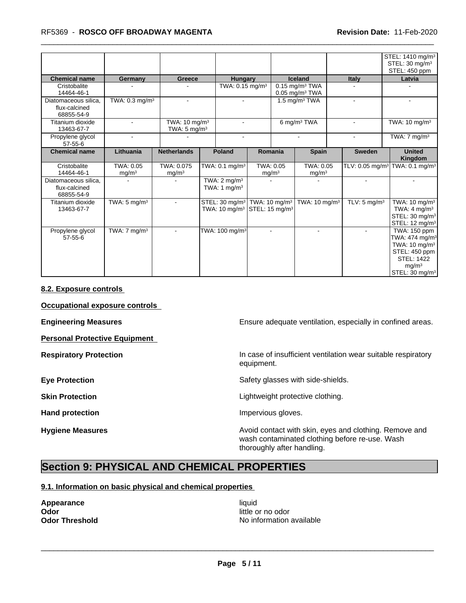### \_\_\_\_\_\_\_\_\_\_\_\_\_\_\_\_\_\_\_\_\_\_\_\_\_\_\_\_\_\_\_\_\_\_\_\_\_\_\_\_\_\_\_\_\_\_\_\_\_\_\_\_\_\_\_\_\_\_\_\_\_\_\_\_\_\_\_\_\_\_\_\_\_\_\_\_\_\_\_\_\_\_\_\_\_\_\_\_\_\_\_\_\_ RF5369 - **ROSCO OFF BROADWAY MAGENTA Revision Date:** 11-Feb-2020

|                                                     |                                |                                                      |  |                                                                                                              |                                |  |                                |                             | STEL: 1410 mg/m <sup>3</sup><br>STEL: 30 mg/m <sup>3</sup><br>STEL: 450 ppm                                                                                       |                |        |
|-----------------------------------------------------|--------------------------------|------------------------------------------------------|--|--------------------------------------------------------------------------------------------------------------|--------------------------------|--|--------------------------------|-----------------------------|-------------------------------------------------------------------------------------------------------------------------------------------------------------------|----------------|--------|
| <b>Chemical name</b>                                | Germany                        | Greece                                               |  | <b>Hungary</b>                                                                                               |                                |  | <b>Iceland</b>                 | Italy                       | Latvia                                                                                                                                                            |                |        |
| Cristobalite<br>14464-46-1                          |                                |                                                      |  |                                                                                                              | TWA: 0.15 mg/m <sup>3</sup>    |  |                                |                             | $0.15$ mg/m <sup>3</sup> TWA<br>$0.05$ mg/m <sup>3</sup> TWA                                                                                                      |                |        |
| Diatomaceous silica.<br>flux-calcined<br>68855-54-9 | TWA: $0.3$ mg/m <sup>3</sup>   | $\sim$                                               |  | $\sim$                                                                                                       |                                |  |                                |                             | 1.5 mg/m $3$ TWA                                                                                                                                                  | $\blacksquare$ | $\sim$ |
| Titanium dioxide<br>13463-67-7                      |                                | TWA: 10 mg/m <sup>3</sup><br>TWA: $5 \text{ mg/m}^3$ |  |                                                                                                              |                                |  | 6 mg/m <sup>3</sup> TWA        |                             | TWA: $10 \text{ mg/m}^3$                                                                                                                                          |                |        |
| Propylene glycol<br>$57 - 55 - 6$                   |                                |                                                      |  | $\sim$                                                                                                       |                                |  |                                | $\blacksquare$              | TWA: $7 \text{ mg/m}^3$                                                                                                                                           |                |        |
| <b>Chemical name</b>                                | Lithuania                      | <b>Netherlands</b>                                   |  | <b>Poland</b>                                                                                                | Romania                        |  | <b>Spain</b>                   | <b>Sweden</b>               | <b>United</b><br>Kingdom                                                                                                                                          |                |        |
| Cristobalite<br>14464-46-1                          | TWA: 0.05<br>mg/m <sup>3</sup> | TWA: 0.075<br>mg/m <sup>3</sup>                      |  | TWA: $0.1$ mg/m <sup>3</sup>                                                                                 | TWA: 0.05<br>mg/m <sup>3</sup> |  | TWA: 0.05<br>mg/m <sup>3</sup> | TLV: 0.05 mg/m <sup>3</sup> | $\overline{\text{TWA}}$ : 0.1 mg/m <sup>3</sup>                                                                                                                   |                |        |
| Diatomaceous silica.<br>flux-calcined<br>68855-54-9 |                                |                                                      |  | TWA: $2 \text{ mg/m}^3$<br>TWA: 1 $mg/m3$                                                                    |                                |  |                                |                             |                                                                                                                                                                   |                |        |
| Titanium dioxide<br>13463-67-7                      | TWA: $5 \text{ mg/m}^3$        |                                                      |  | STEL: 30 mg/m <sup>3</sup> TWA: 10 mg/m <sup>3</sup><br>TWA: 10 mg/m <sup>3</sup> STEL: 15 mg/m <sup>3</sup> |                                |  | TWA: 10 mg/m <sup>3</sup>      | TLV: $5 \text{ mg/m}^3$     | TWA: $10 \text{ mg/m}^3$<br>TWA: $4 \text{ mg/m}^3$<br>STEL: 30 mg/m <sup>3</sup><br>STEL: 12 mg/m <sup>3</sup>                                                   |                |        |
| Propylene glycol<br>$57 - 55 - 6$                   | TWA: $7 \text{ mg/m}^3$        |                                                      |  | TWA: 100 mg/m <sup>3</sup>                                                                                   |                                |  |                                |                             | TWA: 150 ppm<br>TWA: $474$ mg/m <sup>3</sup><br>TWA: $10 \text{ mg/m}^3$<br>STEL: 450 ppm<br><b>STEL: 1422</b><br>mq/m <sup>3</sup><br>STEL: 30 mg/m <sup>3</sup> |                |        |

### **8.2. Exposure controls**

**Occupational exposure controls**

**Personal Protective Equipment**

**Engineering Measures Engineering Measures Engineering Measures Ensure adequate ventilation, especially in confined areas.** 

**Respiratory Protection In case of insufficient ventilation wear suitable respiratory** equipment.

**Eye Protection** Safety glasses with side-shields.

**Skin Protection Skin Protection Lightweight protective clothing.** 

Hand protection **Impervious** gloves.

**Hygiene Measures Avoid contact with skin, eyes and clothing. Remove and Hygiene Measures** and clothing. Remove and wash contaminated clothing before re-use. Wash thoroughly after handling.

# **Section 9: PHYSICAL AND CHEMICAL PROPERTIES**

### **9.1. Information on basic physical and chemical properties**

**Appearance** liquid **and a limitation of the contract of the contract of the contract of the contract of the contract of the contract of the contract of the contract of the contract of the contract of the contract of the c Odor**<br> **Odor Threshold**<br> **Odor Threshold**<br> **Odor Threshold**<br> **Odor Threshold** 

**No information available**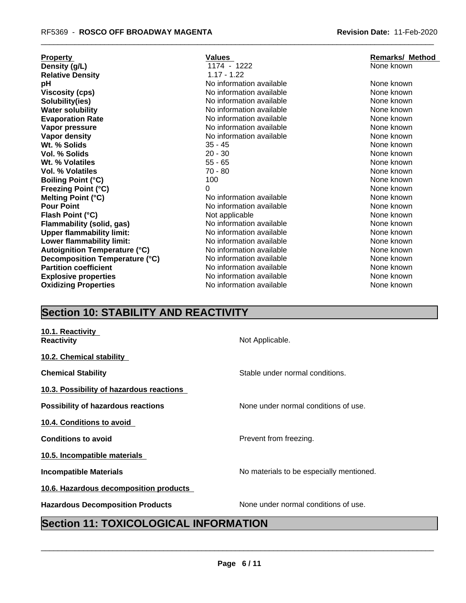| <b>Property</b>                      | <b>Values</b>            | <b>Remarks/ Method</b> |
|--------------------------------------|--------------------------|------------------------|
| Density (g/L)                        | 1174 - 1222              | None known             |
| <b>Relative Density</b>              | $1.17 - 1.22$            |                        |
| рH                                   | No information available | None known             |
| <b>Viscosity (cps)</b>               | No information available | None known             |
| Solubility(ies)                      | No information available | None known             |
| <b>Water solubility</b>              | No information available | None known             |
| <b>Evaporation Rate</b>              | No information available | None known             |
| Vapor pressure                       | No information available | None known             |
| Vapor density                        | No information available | None known             |
| Wt. % Solids                         | $35 - 45$                | None known             |
| Vol. % Solids                        | $20 - 30$                | None known             |
| Wt. % Volatiles                      | $55 - 65$                | None known             |
| <b>Vol. % Volatiles</b>              | 70 - 80                  | None known             |
| <b>Boiling Point (°C)</b>            | 100                      | None known             |
| <b>Freezing Point (°C)</b>           | $\Omega$                 | None known             |
| Melting Point (°C)                   | No information available | None known             |
| <b>Pour Point</b>                    | No information available | None known             |
| Flash Point (°C)                     | Not applicable           | None known             |
| <b>Flammability (solid, gas)</b>     | No information available | None known             |
| <b>Upper flammability limit:</b>     | No information available | None known             |
| Lower flammability limit:            | No information available | None known             |
| <b>Autoignition Temperature (°C)</b> | No information available | None known             |
| Decomposition Temperature (°C)       | No information available | None known             |
| <b>Partition coefficient</b>         | No information available | None known             |
| <b>Explosive properties</b>          | No information available | None known             |
| <b>Oxidizing Properties</b>          | No information available | None known             |
|                                      |                          |                        |

| <b>Values</b>            | <b>Remarks/ Method</b> |
|--------------------------|------------------------|
| 1174 - 1222              | None known             |
| $1.17 - 1.22$            |                        |
| No information available | None known             |
| No information available | None known             |
| No information available | None known             |
| No information available | None known             |
| No information available | None known             |
| No information available | None known             |
| No information available | None known             |
| 35 - 45                  | None known             |
| 20 - 30                  | None known             |
| 55 - 65                  | None known             |
| 70 - 80                  | None known             |
| 100                      | None known             |
| 0                        | None known             |
| No information available | None known             |
| No information available | None known             |
| Not applicable           | None known             |
| No information available | None known             |
| No information available | None known             |
| No information available | None known             |
| No information available | None known             |
| No information available | None known             |
| No information available | None known             |
| No information available | None known             |
| No information available | None known             |

# **Section 10: STABILITY AND REACTIVITY**

| 10.1. Reactivity<br><b>Reactivity</b>     | Not Applicable.                          |
|-------------------------------------------|------------------------------------------|
| 10.2. Chemical stability                  |                                          |
| <b>Chemical Stability</b>                 | Stable under normal conditions.          |
| 10.3. Possibility of hazardous reactions  |                                          |
| <b>Possibility of hazardous reactions</b> | None under normal conditions of use.     |
| 10.4. Conditions to avoid                 |                                          |
| <b>Conditions to avoid</b>                | Prevent from freezing.                   |
| 10.5. Incompatible materials              |                                          |
| <b>Incompatible Materials</b>             | No materials to be especially mentioned. |
| 10.6. Hazardous decomposition products    |                                          |
| <b>Hazardous Decomposition Products</b>   | None under normal conditions of use.     |

# **Section 11: TOXICOLOGICAL INFORMATION**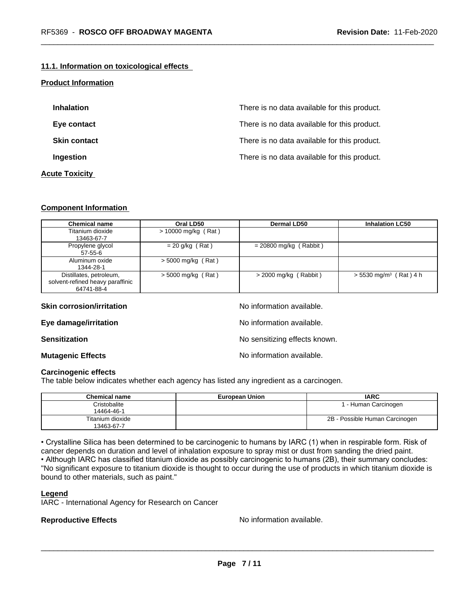### **11.1. Information on toxicological effects**

### **Product Information**

| <b>Inhalation</b>     | There is no data available for this product. |
|-----------------------|----------------------------------------------|
| Eye contact           | There is no data available for this product. |
| <b>Skin contact</b>   | There is no data available for this product. |
| Ingestion             | There is no data available for this product. |
| <b>Acute Toxicity</b> |                                              |

### **Component Information**

| <b>Chemical name</b>                                                      | Oral LD50             | <b>Dermal LD50</b>       | <b>Inhalation LC50</b>               |
|---------------------------------------------------------------------------|-----------------------|--------------------------|--------------------------------------|
| Titanium dioxide<br>13463-67-7                                            | $> 10000$ mg/kg (Rat) |                          |                                      |
| Propylene glycol<br>$57-55-6$                                             | $= 20$ g/kg (Rat)     | $= 20800$ mg/kg (Rabbit) |                                      |
| Aluminum oxide<br>1344-28-1                                               | $>$ 5000 mg/kg (Rat)  |                          |                                      |
| Distillates, petroleum,<br>solvent-refined heavy paraffinic<br>64741-88-4 | $>$ 5000 mg/kg (Rat)  | $>$ 2000 mg/kg (Rabbit)  | $> 5530$ mg/m <sup>3</sup> (Rat) 4 h |

| <b>Skin corrosion/irritation</b> | No information available.     |
|----------------------------------|-------------------------------|
| Eye damage/irritation            | No information available.     |
| <b>Sensitization</b>             | No sensitizing effects known. |
| <b>Mutagenic Effects</b>         | No information available.     |

### **Carcinogenic effects**

The table below indicates whether each agency has listed any ingredient as a carcinogen.

| Chemical name    | <b>European Union</b> | <b>IARC</b>                    |
|------------------|-----------------------|--------------------------------|
| Cristobalite     |                       | l - Human Carcinogen           |
| 14464-46-1       |                       |                                |
| Titanium dioxide |                       | 2B - Possible Human Carcinogen |
| 13463-67-7       |                       |                                |

• Crystalline Silica has been determined to be carcinogenic to humans by IARC (1) when in respirable form. Risk of cancer depends on duration and level of inhalation exposure to spray mist or dust from sanding the dried paint.• Although IARC has classified titanium dioxide as possibly carcinogenic to humans (2B), their summary concludes: "No significant exposure to titanium dioxide is thought to occur during the use of products in which titanium dioxide is bound to other materials, such as paint."

### **Legend**

IARC - International Agency for Research on Cancer

**Reproductive Effects No information available.**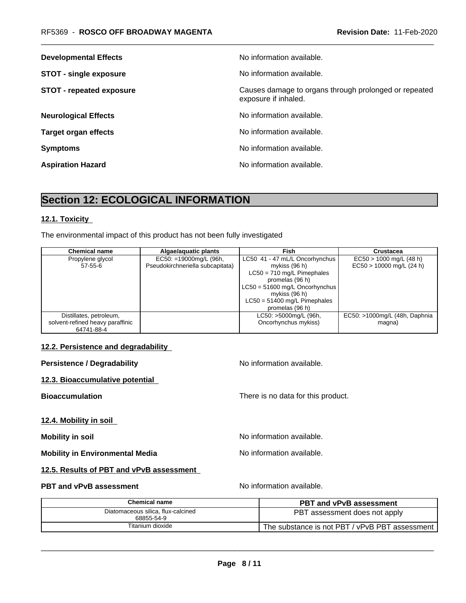| <b>Developmental Effects</b>    | No information available.                                                     |
|---------------------------------|-------------------------------------------------------------------------------|
| <b>STOT - single exposure</b>   | No information available.                                                     |
| <b>STOT - repeated exposure</b> | Causes damage to organs through prolonged or repeated<br>exposure if inhaled. |
| <b>Neurological Effects</b>     | No information available.                                                     |
| <b>Target organ effects</b>     | No information available.                                                     |
| <b>Symptoms</b>                 | No information available.                                                     |
| <b>Aspiration Hazard</b>        | No information available.                                                     |

# **Section 12: ECOLOGICAL INFORMATION**

### **12.1. Toxicity**

The environmental impact of this product has not been fully investigated

| <b>Chemical name</b>             | Algae/aquatic plants             | Fish                             | <b>Crustacea</b>              |
|----------------------------------|----------------------------------|----------------------------------|-------------------------------|
| Propylene glycol                 | EC50: =19000mg/L (96h,           | LC50 41 - 47 mL/L Oncorhynchus   | $EC50 > 1000$ mg/L (48 h)     |
| $57 - 55 - 6$                    | Pseudokirchneriella subcapitata) | mykiss (96 h)                    | $EC50 > 10000$ mg/L (24 h)    |
|                                  |                                  | $LC50 = 710$ mg/L Pimephales     |                               |
|                                  |                                  | promelas (96 h)                  |                               |
|                                  |                                  | $LC50 = 51600$ mg/L Oncorhynchus |                               |
|                                  |                                  | mykiss $(96 h)$                  |                               |
|                                  |                                  | $LC50 = 51400$ mg/L Pimephales   |                               |
|                                  |                                  | promelas (96 h)                  |                               |
| Distillates, petroleum,          |                                  | LC50: >5000mg/L (96h,            | EC50: >1000mg/L (48h, Daphnia |
| solvent-refined heavy paraffinic |                                  | Oncorhynchus mykiss)             | magna)                        |
| 64741-88-4                       |                                  |                                  |                               |

### **12.2. Persistence and degradability**

| <b>Persistence / Degradability</b>       | No information available.          |
|------------------------------------------|------------------------------------|
| 12.3. Bioaccumulative potential          |                                    |
| <b>Bioaccumulation</b>                   | There is no data for this product. |
| 12.4. Mobility in soil                   |                                    |
| <b>Mobility in soil</b>                  | No information available.          |
| <b>Mobility in Environmental Media</b>   | No information available.          |
| 12.5. Results of PBT and vPvB assessment |                                    |

### **PBT and vPvB assessment** No information available.

**Chemical name PBT and vPvB assessment** Diatomaceous silica, flux-calcined Iceous silica, flux-calcined<br>
<del>68855-54-9 PBT assessment does not apply</del><br>
The substance is not PBT / vPvB PBT ass<br>
Titanium dioxide The substance is not PBT / vPvB PBT assessment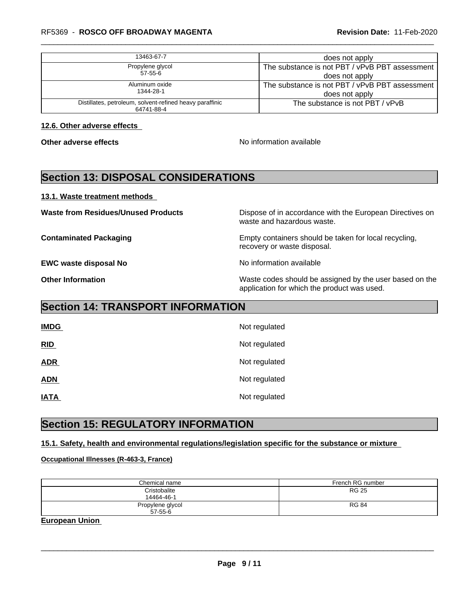| 13463-67-7                                                             | does not apply                                 |
|------------------------------------------------------------------------|------------------------------------------------|
| Propylene glycol                                                       | The substance is not PBT / vPvB PBT assessment |
| $57 - 55 - 6$                                                          | does not apply                                 |
| Aluminum oxide                                                         | The substance is not PBT / vPvB PBT assessment |
| 1344-28-1                                                              | does not apply                                 |
| Distillates, petroleum, solvent-refined heavy paraffinic<br>64741-88-4 | The substance is not PBT / vPvB                |
|                                                                        |                                                |

**12.6. Other adverse effects** 

**Other adverse effects No information available No information available** 

# **Section 13: DISPOSAL CONSIDERATIONS**

### **13.1. Waste treatment methods**

**EWC waste disposal No No information available** 

**Waste from Residues/Unused Products** Dispose of in accordance with the European Directives on waste and hazardous waste.

**Contaminated Packaging <b>Empty Containers** should be taken for local recycling, recovery or waste disposal.

**Other Information** Waste codes should be assigned by the user based on the application for which the product was used.

# **Section 14: TRANSPORT INFORMATION**

| <b>IMDG</b> | Not regulated |
|-------------|---------------|
| RID         | Not regulated |
| <b>ADR</b>  | Not regulated |
| <b>ADN</b>  | Not regulated |
| <b>IATA</b> | Not regulated |

# **Section 15: REGULATORY INFORMATION**

### **15.1. Safety, health and environmental regulations/legislation specific for the substance or mixture**

### **Occupational Illnesses (R-463-3, France)**

| Chemical name                     | French RG number |
|-----------------------------------|------------------|
| Cristobalite<br>14464-46-1        | <b>RG 25</b>     |
| Propylene glycol<br>$57 - 55 - 6$ | <b>RG 84</b>     |

**European Union**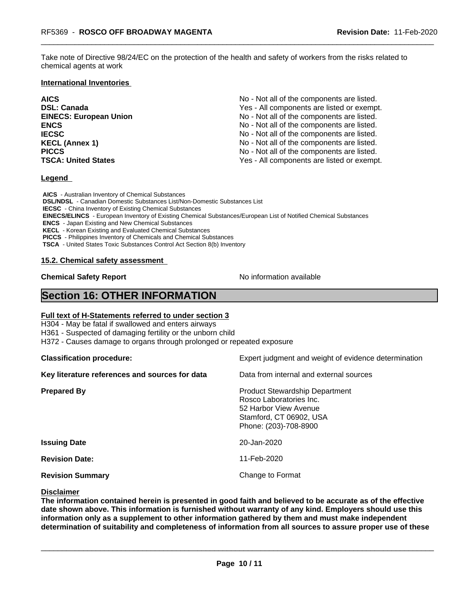Take note of Directive 98/24/EC on the protection of the health and safety of workers from the risks related to chemical agents at work

### **International Inventories**

**AICS** No - Not all of the components are listed. **DSL: Canada Ves - All components are listed or exempt.** Yes - All components are listed or exempt. **EINECS: European Union** No - Not all of the components are listed. **ENCS ENCS ENCS ENCS ENCS ENCS ENCS ENCS ENCS ENCS ENCS ENCS ENCS ENCS ENCS ENCS ENCS ENCS ENCS ENCS ENCS ENCS ENCS ENCS ENCS ENCS ENCS ENCS ENCS ENCS ENCS ENCS IECSC IECSC IECSC IECSC IECSC IECSC IECSC IECSC IECSC IECSC IECS IECS IECS IECS IECS IECS IECS IECS IECS IECS IECS IECS IECS IECS IECS IECS IECS IECS IECS IECS I KECL (Annex 1)** No - Not all of the components are listed. **PICCS No** - Not all of the components are listed. **TSCA: United States** TSCA:  $Y$ es - All components are listed or exempt.

### **Legend**

 **AICS** - Australian Inventory of Chemical Substances  **DSL/NDSL** - Canadian Domestic Substances List/Non-Domestic Substances List  **IECSC** - China Inventory of Existing Chemical Substances  **EINECS/ELINCS** - European Inventory of Existing Chemical Substances/European List of Notified Chemical Substances  **ENCS** - Japan Existing and New Chemical Substances  **KECL** - Korean Existing and Evaluated Chemical Substances  **PICCS** - Philippines Inventory of Chemicals and Chemical Substances  **TSCA** - United States Toxic Substances Control Act Section 8(b) Inventory

### **15.2. Chemical safety assessment**

**Chemical Safety Report** No information available

# **Section 16: OTHER INFORMATION**

### **Full text of H-Statements referred to under section 3**

H304 - May be fatal if swallowed and enters airways

H361 - Suspected of damaging fertility or the unborn child

H372 - Causes damage to organs through prolonged or repeated exposure

**Classification procedure:** Expert judgment and weight of evidence determination **Key literature references and sources for data** Data from internal and external sources **Prepared By Product Stewardship Department** Rosco Laboratories Inc. 52 Harbor View Avenue Stamford, CT 06902, USA Phone: (203)-708-8900 **Issuing Date** 20-Jan-2020 **Revision Date:** 11-Feb-2020 **Revision Summary Change to Format** 

### **Disclaimer**

The information contained herein is presented in good faith and believed to be accurate as of the effective **date shown above. This information isfurnished without warranty of any kind. Employers should use this information only as a supplement to other information gathered by them and must make independent determination of suitability and completeness of information from all sources to assure proper use of these**